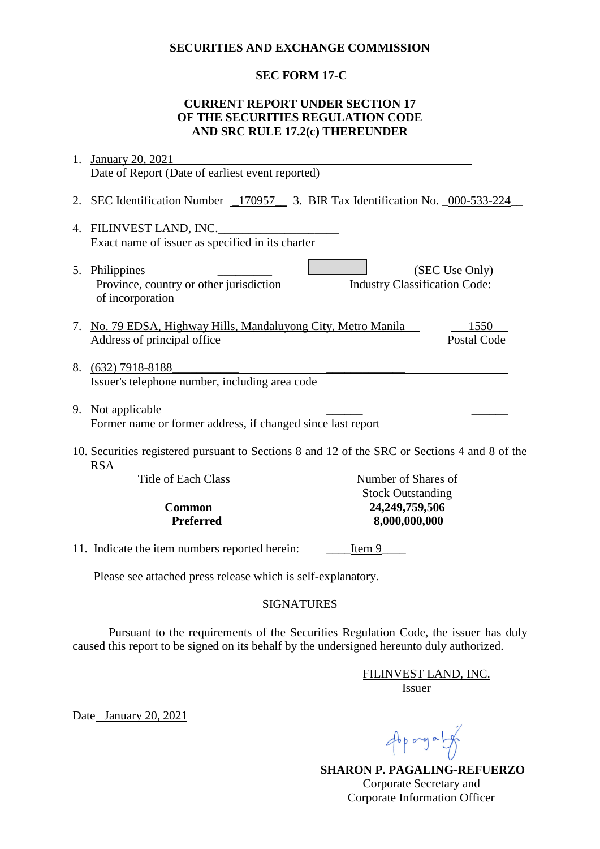#### **SECURITIES AND EXCHANGE COMMISSION**

## **SEC FORM 17-C**

#### **CURRENT REPORT UNDER SECTION 17 OF THE SECURITIES REGULATION CODE AND SRC RULE 17.2(c) THEREUNDER**

| 1.                                                                                                          | January 20, 2021                                                              |                                      |                    |
|-------------------------------------------------------------------------------------------------------------|-------------------------------------------------------------------------------|--------------------------------------|--------------------|
|                                                                                                             | Date of Report (Date of earliest event reported)                              |                                      |                    |
| 2.                                                                                                          | SEC Identification Number 170957 3. BIR Tax Identification No. 000-533-224    |                                      |                    |
| FILINVEST LAND, INC.<br>4.                                                                                  |                                                                               |                                      |                    |
|                                                                                                             | Exact name of issuer as specified in its charter                              |                                      |                    |
|                                                                                                             | 5. Philippines<br>Province, country or other jurisdiction<br>of incorporation | <b>Industry Classification Code:</b> | (SEC Use Only)     |
|                                                                                                             | 7. No. 79 EDSA, Highway Hills, Mandaluyong City, Metro Manila                 |                                      | 1550               |
|                                                                                                             | Address of principal office                                                   |                                      | <b>Postal Code</b> |
|                                                                                                             | 8. (632) 7918-8188<br>Issuer's telephone number, including area code          |                                      |                    |
| 9.                                                                                                          | Not applicable                                                                |                                      |                    |
|                                                                                                             | Former name or former address, if changed since last report                   |                                      |                    |
| 10. Securities registered pursuant to Sections 8 and 12 of the SRC or Sections 4 and 8 of the<br><b>RSA</b> |                                                                               |                                      |                    |
|                                                                                                             | <b>Title of Each Class</b>                                                    | Number of Shares of                  |                    |
|                                                                                                             | <b>Stock Outstanding</b>                                                      |                                      |                    |
| <b>Common</b><br><b>Preferred</b>                                                                           |                                                                               | 24,249,759,506<br>8,000,000,000      |                    |
|                                                                                                             |                                                                               |                                      |                    |
|                                                                                                             | 11. Indicate the item numbers reported herein:<br>Item 9                      |                                      |                    |
| Please see attached press release which is self-explanatory.                                                |                                                                               |                                      |                    |

### SIGNATURES

Pursuant to the requirements of the Securities Regulation Code, the issuer has duly caused this report to be signed on its behalf by the undersigned hereunto duly authorized.

> FILINVEST LAND, INC. Issuer

Date January 20, 2021

Approgram

 **SHARON P. PAGALING-REFUERZO** Corporate Secretary and Corporate Information Officer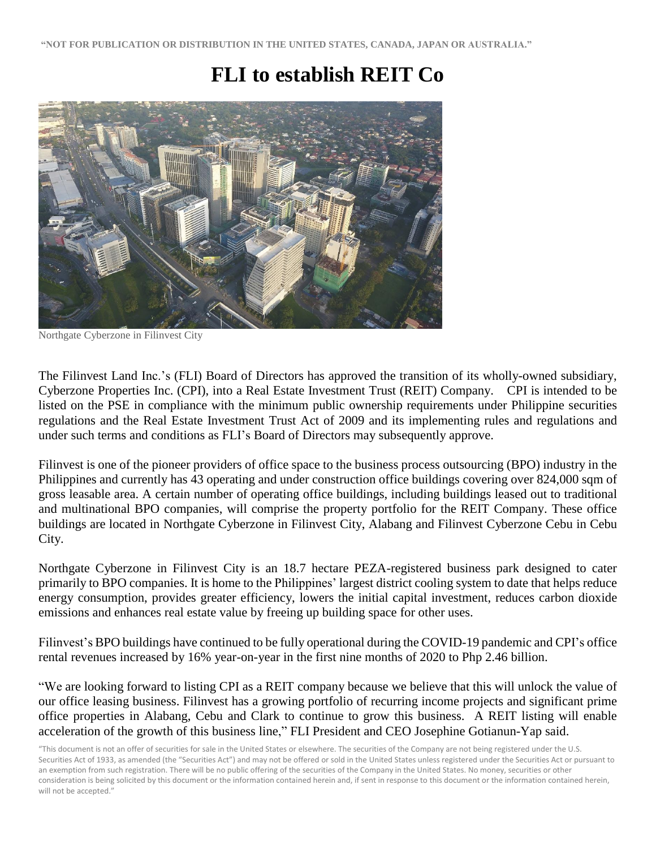# **FLI to establish REIT Co**



Northgate Cyberzone in Filinvest City

The Filinvest Land Inc.'s (FLI) Board of Directors has approved the transition of its wholly-owned subsidiary, Cyberzone Properties Inc. (CPI), into a Real Estate Investment Trust (REIT) Company. CPI is intended to be listed on the PSE in compliance with the minimum public ownership requirements under Philippine securities regulations and the Real Estate Investment Trust Act of 2009 and its implementing rules and regulations and under such terms and conditions as FLI's Board of Directors may subsequently approve.

Filinvest is one of the pioneer providers of office space to the business process outsourcing (BPO) industry in the Philippines and currently has 43 operating and under construction office buildings covering over 824,000 sqm of gross leasable area. A certain number of operating office buildings, including buildings leased out to traditional and multinational BPO companies, will comprise the property portfolio for the REIT Company. These office buildings are located in Northgate Cyberzone in Filinvest City, Alabang and Filinvest Cyberzone Cebu in Cebu City.

Northgate Cyberzone in Filinvest City is an 18.7 hectare PEZA-registered business park designed to cater primarily to BPO companies. It is home to the Philippines' largest district cooling system to date that helps reduce energy consumption, provides greater efficiency, lowers the initial capital investment, reduces carbon dioxide emissions and enhances real estate value by freeing up building space for other uses.

Filinvest's BPO buildings have continued to be fully operational during the COVID-19 pandemic and CPI's office rental revenues increased by 16% year-on-year in the first nine months of 2020 to Php 2.46 billion.

"We are looking forward to listing CPI as a REIT company because we believe that this will unlock the value of our office leasing business. Filinvest has a growing portfolio of recurring income projects and significant prime office properties in Alabang, Cebu and Clark to continue to grow this business. A REIT listing will enable acceleration of the growth of this business line," FLI President and CEO Josephine Gotianun-Yap said.

<sup>&</sup>quot;This document is not an offer of securities for sale in the United States or elsewhere. The securities of the Company are not being registered under the U.S. Securities Act of 1933, as amended (the "Securities Act") and may not be offered or sold in the United States unless registered under the Securities Act or pursuant to an exemption from such registration. There will be no public offering of the securities of the Company in the United States. No money, securities or other consideration is being solicited by this document or the information contained herein and, if sent in response to this document or the information contained herein, will not be accepted."